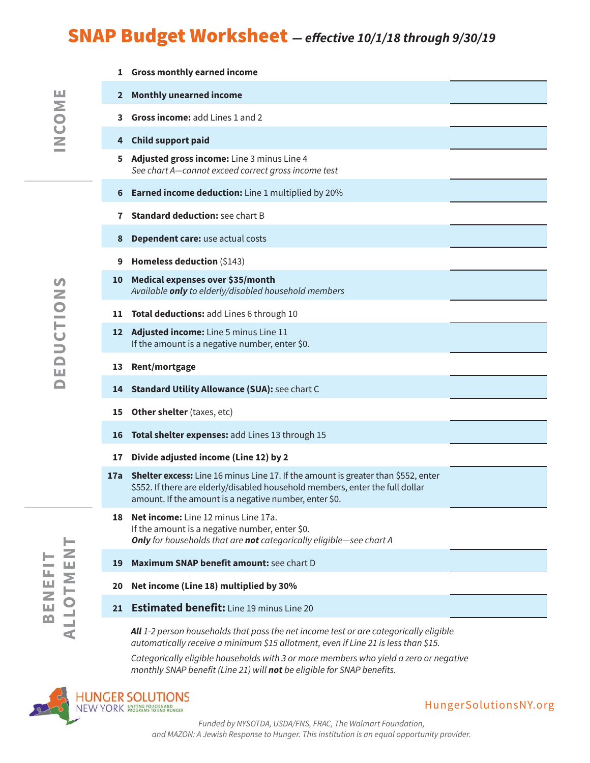# SNAP Budget Worksheet **— effective 10/1/18 through 9/30/19**

| 1   | <b>Gross monthly earned income</b>                                                                                                                                                                                           |
|-----|------------------------------------------------------------------------------------------------------------------------------------------------------------------------------------------------------------------------------|
| 2   | <b>Monthly unearned income</b>                                                                                                                                                                                               |
| 3.  | Gross income: add Lines 1 and 2                                                                                                                                                                                              |
| 4   | <b>Child support paid</b>                                                                                                                                                                                                    |
| 5   | Adjusted gross income: Line 3 minus Line 4<br>See chart A-cannot exceed correct gross income test                                                                                                                            |
| 6   | <b>Earned income deduction:</b> Line 1 multiplied by 20%                                                                                                                                                                     |
| 7   | <b>Standard deduction: see chart B</b>                                                                                                                                                                                       |
| 8   | Dependent care: use actual costs                                                                                                                                                                                             |
| 9   | Homeless deduction (\$143)                                                                                                                                                                                                   |
| 10  | Medical expenses over \$35/month<br>Available only to elderly/disabled household members                                                                                                                                     |
| 11  | Total deductions: add Lines 6 through 10                                                                                                                                                                                     |
| 12  | Adjusted income: Line 5 minus Line 11<br>If the amount is a negative number, enter \$0.                                                                                                                                      |
| 13  | Rent/mortgage                                                                                                                                                                                                                |
| 14  | <b>Standard Utility Allowance (SUA): see chart C</b>                                                                                                                                                                         |
| 15  | Other shelter (taxes, etc)                                                                                                                                                                                                   |
| 16  | Total shelter expenses: add Lines 13 through 15                                                                                                                                                                              |
| 17  | Divide adjusted income (Line 12) by 2                                                                                                                                                                                        |
| 17a | Shelter excess: Line 16 minus Line 17. If the amount is greater than \$552, enter<br>\$552. If there are elderly/disabled household members, enter the full dollar<br>amount. If the amount is a negative number, enter \$0. |
| 18  | Net income: Line 12 minus Line 17a.<br>If the amount is a negative number, enter \$0.<br>Only for households that are not categorically eligible-see chart A                                                                 |
| 19  | Maximum SNAP benefit amount: see chart D                                                                                                                                                                                     |
| 20  | Net income (Line 18) multiplied by 30%                                                                                                                                                                                       |
| 21  | <b>Estimated benefit:</b> Line 19 minus Line 20                                                                                                                                                                              |
|     | All 1-2 person households that pass the net income test or are categorically eligible                                                                                                                                        |

automatically receive a minimum \$15 allotment, even if Line 21 is less than \$15.

Categorically eligible households with 3 or more members who yield a zero or negative monthly SNAP benefit (Line 21) will **not** be eligible for SNAP benefits.



ALLOTMEN

BENEFIT

#### HungerSolutionsNY.org

Funded by NYSOTDA, USDA/FNS, FRAC, The Walmart Foundation, and MAZON: A Jewish Response to Hunger. This institution is an equal opportunity provider.

INCOME